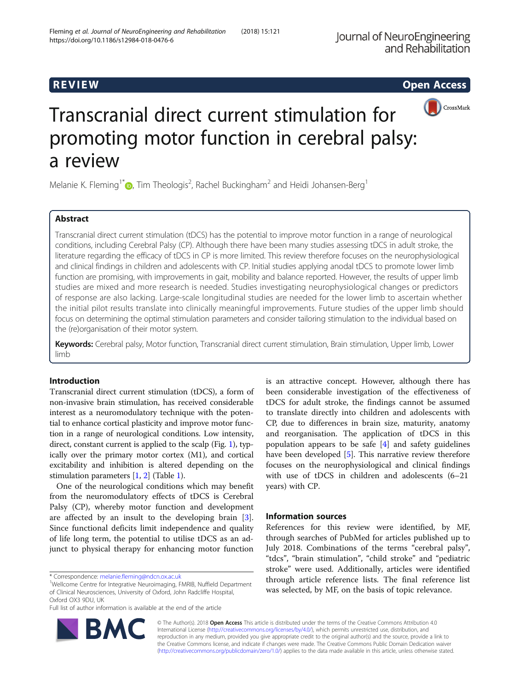# **REVIEW CONSIDERING CONSIDERING CONSIDERING CONSIDERING CONSIDERING CONSIDERING CONSIDERING CONSIDERING CONSIDERING CONSIDERING CONSIDERING CONSIDERING CONSIDERING CONSIDERING CONSIDERING CONSIDERING CONSIDERING CONSIDER**



# Transcranial direct current stimulation for promoting motor function in cerebral palsy: a review

Melanie K. Fleming<sup>1\*</sup> $\textcircled{\tiny{\textcirc}}$ [,](http://orcid.org/0000-0003-2232-9598) Tim Theologis<sup>2</sup>, Rachel Buckingham<sup>2</sup> and Heidi Johansen-Berg<sup>1</sup>

# Abstract

Transcranial direct current stimulation (tDCS) has the potential to improve motor function in a range of neurological conditions, including Cerebral Palsy (CP). Although there have been many studies assessing tDCS in adult stroke, the literature regarding the efficacy of tDCS in CP is more limited. This review therefore focuses on the neurophysiological and clinical findings in children and adolescents with CP. Initial studies applying anodal tDCS to promote lower limb function are promising, with improvements in gait, mobility and balance reported. However, the results of upper limb studies are mixed and more research is needed. Studies investigating neurophysiological changes or predictors of response are also lacking. Large-scale longitudinal studies are needed for the lower limb to ascertain whether the initial pilot results translate into clinically meaningful improvements. Future studies of the upper limb should focus on determining the optimal stimulation parameters and consider tailoring stimulation to the individual based on the (re)organisation of their motor system.

Keywords: Cerebral palsy, Motor function, Transcranial direct current stimulation, Brain stimulation, Upper limb, Lower limb

# Introduction

Transcranial direct current stimulation (tDCS), a form of non-invasive brain stimulation, has received considerable interest as a neuromodulatory technique with the potential to enhance cortical plasticity and improve motor function in a range of neurological conditions. Low intensity, direct, constant current is applied to the scalp (Fig. [1\)](#page-1-0), typically over the primary motor cortex (M1), and cortical excitability and inhibition is altered depending on the stimulation parameters [[1,](#page-6-0) [2](#page-6-0)] (Table [1](#page-1-0)).

One of the neurological conditions which may benefit from the neuromodulatory effects of tDCS is Cerebral Palsy (CP), whereby motor function and development are affected by an insult to the developing brain [\[3](#page-6-0)]. Since functional deficits limit independence and quality of life long term, the potential to utilise tDCS as an adjunct to physical therapy for enhancing motor function

Full list of author information is available at the end of the article



is an attractive concept. However, although there has been considerable investigation of the effectiveness of tDCS for adult stroke, the findings cannot be assumed to translate directly into children and adolescents with CP, due to differences in brain size, maturity, anatomy and reorganisation. The application of tDCS in this population appears to be safe [\[4](#page-6-0)] and safety guidelines have been developed [[5\]](#page-6-0). This narrative review therefore focuses on the neurophysiological and clinical findings with use of tDCS in children and adolescents (6–21 years) with CP.

# Information sources

References for this review were identified, by MF, through searches of PubMed for articles published up to July 2018. Combinations of the terms "cerebral palsy", "tdcs", "brain stimulation", "child stroke" and "pediatric stroke" were used. Additionally, articles were identified through article reference lists. The final reference list was selected, by MF, on the basis of topic relevance.

© The Author(s). 2018 Open Access This article is distributed under the terms of the Creative Commons Attribution 4.0 International License [\(http://creativecommons.org/licenses/by/4.0/](http://creativecommons.org/licenses/by/4.0/)), which permits unrestricted use, distribution, and reproduction in any medium, provided you give appropriate credit to the original author(s) and the source, provide a link to the Creative Commons license, and indicate if changes were made. The Creative Commons Public Domain Dedication waiver [\(http://creativecommons.org/publicdomain/zero/1.0/](http://creativecommons.org/publicdomain/zero/1.0/)) applies to the data made available in this article, unless otherwise stated.

<sup>\*</sup> Correspondence: [melanie.fleming@ndcn.ox.ac.uk](mailto:melanie.fleming@ndcn.ox.ac.uk) <sup>1</sup>

<sup>&</sup>lt;sup>1</sup>Wellcome Centre for Integrative Neuroimaging, FMRIB, Nuffield Department of Clinical Neurosciences, University of Oxford, John Radcliffe Hospital, Oxford OX3 9DU, UK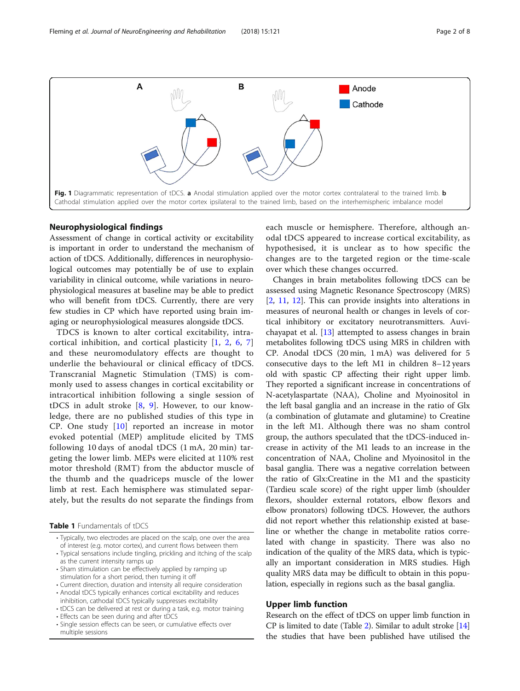<span id="page-1-0"></span>

## Neurophysiological findings

Assessment of change in cortical activity or excitability is important in order to understand the mechanism of action of tDCS. Additionally, differences in neurophysiological outcomes may potentially be of use to explain variability in clinical outcome, while variations in neurophysiological measures at baseline may be able to predict who will benefit from tDCS. Currently, there are very few studies in CP which have reported using brain imaging or neurophysiological measures alongside tDCS.

TDCS is known to alter cortical excitability, intracortical inhibition, and cortical plasticity [[1,](#page-6-0) [2,](#page-6-0) [6](#page-6-0), [7](#page-6-0)] and these neuromodulatory effects are thought to underlie the behavioural or clinical efficacy of tDCS. Transcranial Magnetic Stimulation (TMS) is commonly used to assess changes in cortical excitability or intracortical inhibition following a single session of tDCS in adult stroke [[8,](#page-6-0) [9\]](#page-6-0). However, to our knowledge, there are no published studies of this type in CP. One study [[10](#page-6-0)] reported an increase in motor evoked potential (MEP) amplitude elicited by TMS following 10 days of anodal tDCS (1 mA, 20 min) targeting the lower limb. MEPs were elicited at 110% rest motor threshold (RMT) from the abductor muscle of the thumb and the quadriceps muscle of the lower limb at rest. Each hemisphere was stimulated separately, but the results do not separate the findings from

#### Table 1 Fundamentals of tDCS

- Typically, two electrodes are placed on the scalp, one over the area of interest (e.g. motor cortex), and current flows between them
- Typical sensations include tingling, prickling and itching of the scalp as the current intensity ramps up
- Sham stimulation can be effectively applied by ramping up stimulation for a short period, then turning it off
- Current direction, duration and intensity all require consideration
- Anodal tDCS typically enhances cortical excitability and reduces inhibition, cathodal tDCS typically suppresses excitability
- tDCS can be delivered at rest or during a task, e.g. motor training
- Effects can be seen during and after tDCS
- Single session effects can be seen, or cumulative effects over multiple sessions

each muscle or hemisphere. Therefore, although anodal tDCS appeared to increase cortical excitability, as hypothesised, it is unclear as to how specific the changes are to the targeted region or the time-scale over which these changes occurred.

Changes in brain metabolites following tDCS can be assessed using Magnetic Resonance Spectroscopy (MRS) [[2,](#page-6-0) [11,](#page-6-0) [12\]](#page-6-0). This can provide insights into alterations in measures of neuronal health or changes in levels of cortical inhibitory or excitatory neurotransmitters. Auvichayapat et al. [\[13](#page-6-0)] attempted to assess changes in brain metabolites following tDCS using MRS in children with CP. Anodal tDCS (20 min, 1 mA) was delivered for 5 consecutive days to the left M1 in children 8–12 years old with spastic CP affecting their right upper limb. They reported a significant increase in concentrations of N-acetylaspartate (NAA), Choline and Myoinositol in the left basal ganglia and an increase in the ratio of Glx (a combination of glutamate and glutamine) to Creatine in the left M1. Although there was no sham control group, the authors speculated that the tDCS-induced increase in activity of the M1 leads to an increase in the concentration of NAA, Choline and Myoinositol in the basal ganglia. There was a negative correlation between the ratio of Glx:Creatine in the M1 and the spasticity (Tardieu scale score) of the right upper limb (shoulder flexors, shoulder external rotators, elbow flexors and elbow pronators) following tDCS. However, the authors did not report whether this relationship existed at baseline or whether the change in metabolite ratios correlated with change in spasticity. There was also no indication of the quality of the MRS data, which is typically an important consideration in MRS studies. High quality MRS data may be difficult to obtain in this population, especially in regions such as the basal ganglia.

# Upper limb function

Research on the effect of tDCS on upper limb function in CP is limited to date (Table [2](#page-2-0)). Similar to adult stroke [[14](#page-6-0)] the studies that have been published have utilised the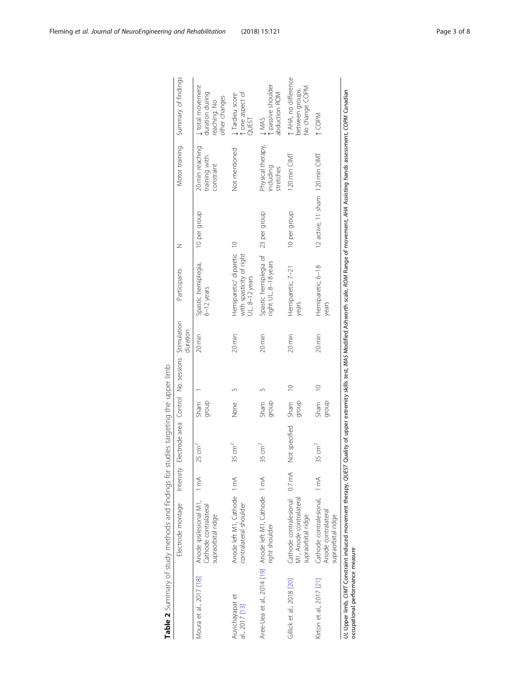<span id="page-2-0"></span>

|                                                                                                                                                                                                          | Electrode montage                                                              | Intensity | Electrode area Control No. sessions Stimulation |               |             | duration | Participants                                                             | Z                               | Motor training                                 | Summary of findings                                                         |
|----------------------------------------------------------------------------------------------------------------------------------------------------------------------------------------------------------|--------------------------------------------------------------------------------|-----------|-------------------------------------------------|---------------|-------------|----------|--------------------------------------------------------------------------|---------------------------------|------------------------------------------------|-----------------------------------------------------------------------------|
| Moura et al., 2017 [18]                                                                                                                                                                                  | Anode ipsilesional M1, 1 mA<br>Cathode contralateral<br>supraorbital ridge     |           | $25 \text{ cm}^2$                               | Sham<br>group |             | 20 min   | Spastic hemiplegia,<br>$6-12$ years                                      | 10 per group                    | 20 min reaching<br>training with<br>constraint | <b>Į</b> total movement<br>duration during<br>other changes<br>reaching, No |
| Auvichayapat et<br>al., 2017 [13]                                                                                                                                                                        | Anode left M1, Cathode 1 mA<br>contralateral shoulder                          |           | $35 \text{ cm}^2$                               | None          |             | 20 min   | Hemiparetic/diparetic 10<br>with spasticity of right<br>$UL, 8-12$ years |                                 | Not mentioned                                  | one aspect of<br><b>J</b> Tardieu score<br>QUEST                            |
| Aree-Uea et al., 2014 [19] Anode left M1, Cathode 1 mA                                                                                                                                                   | right shoulder                                                                 |           | $35 \text{ cm}^2$                               | Sham<br>group |             | 20 min   | Spastic hemiplegia of<br>right UL, 8-18 years                            | 23 per group                    | Physical therapy,<br>ncluding<br>stretches     | passive shoulder<br>abduction ROM<br><b>UWNT</b>                            |
| Gillick et al., 2018 [20]                                                                                                                                                                                | Cathode contralesional 0.7 mA<br>M1, Anode contralateral<br>supraorbital ridge |           | Not specified                                   | Sham<br>dronb | $\supseteq$ | 20 min   | Hemiparetic, 7-21<br>years                                               | 10 per group                    | 120 min CIMT                                   | 1 AHA, no difference<br>No change COPM<br>between groups.                   |
| Kirton et al., 2017 [21]                                                                                                                                                                                 | Cathode contralesional, 1 mA<br>Anode contralateral<br>supraorbital ridge      |           | $35 \text{ cm}^2$                               | Sham<br>group | $\supseteq$ | 20 min   | Hemiparetic, 6-18<br>years                                               | 12 active, 11 sham 120 min CIMT |                                                | T COPM                                                                      |
| UL Upper limb, CIMT Constraint induced movement therapy, QUEST Quality of upper extremity skills test, MAS Modified Ashworth scale, ROM Range of movement, AHA Assisting hands assessment, COPM Canadian |                                                                                |           |                                                 |               |             |          |                                                                          |                                 |                                                |                                                                             |

| $\sim$                                                                       |  |
|------------------------------------------------------------------------------|--|
|                                                                              |  |
|                                                                              |  |
|                                                                              |  |
| こうりつうりつ                                                                      |  |
|                                                                              |  |
| j<br>١                                                                       |  |
|                                                                              |  |
|                                                                              |  |
|                                                                              |  |
| ついこ こうしょう とうきょう こうこうこう こうしょう こうしょう こうしょう アクト こうしょう こうこうしょう こうこう うらこうしゃ アプリング |  |
| )<br> <br>J                                                                  |  |
| ŀ                                                                            |  |

\_<br>פ ע<br>פ  $\geq$ בُ≦<br>י UL Upper limb, CIMT Constraint inductional performance measure occupational performance measure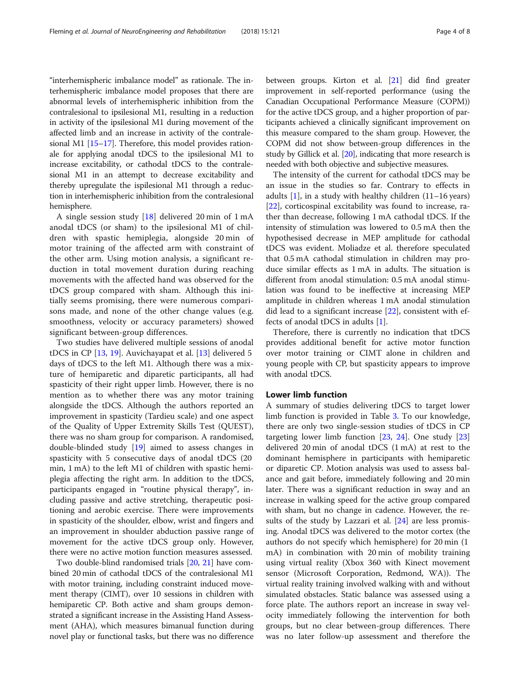"interhemispheric imbalance model" as rationale. The interhemispheric imbalance model proposes that there are abnormal levels of interhemispheric inhibition from the contralesional to ipsilesional M1, resulting in a reduction in activity of the ipsilesional M1 during movement of the affected limb and an increase in activity of the contralesional M1 [\[15](#page-6-0)–[17](#page-6-0)]. Therefore, this model provides rationale for applying anodal tDCS to the ipsilesional M1 to increase excitability, or cathodal tDCS to the contralesional M1 in an attempt to decrease excitability and thereby upregulate the ispilesional M1 through a reduction in interhemispheric inhibition from the contralesional hemisphere.

A single session study [[18\]](#page-6-0) delivered 20 min of 1 mA anodal tDCS (or sham) to the ipsilesional M1 of children with spastic hemiplegia, alongside 20 min of motor training of the affected arm with constraint of the other arm. Using motion analysis, a significant reduction in total movement duration during reaching movements with the affected hand was observed for the tDCS group compared with sham. Although this initially seems promising, there were numerous comparisons made, and none of the other change values (e.g. smoothness, velocity or accuracy parameters) showed significant between-group differences.

Two studies have delivered multiple sessions of anodal tDCS in CP  $[13, 19]$  $[13, 19]$  $[13, 19]$ . Auvichayapat et al.  $[13]$  $[13]$  delivered 5 days of tDCS to the left M1. Although there was a mixture of hemiparetic and diparetic participants, all had spasticity of their right upper limb. However, there is no mention as to whether there was any motor training alongside the tDCS. Although the authors reported an improvement in spasticity (Tardieu scale) and one aspect of the Quality of Upper Extremity Skills Test (QUEST), there was no sham group for comparison. A randomised, double-blinded study [[19\]](#page-6-0) aimed to assess changes in spasticity with 5 consecutive days of anodal tDCS (20 min, 1 mA) to the left M1 of children with spastic hemiplegia affecting the right arm. In addition to the tDCS, participants engaged in "routine physical therapy", including passive and active stretching, therapeutic positioning and aerobic exercise. There were improvements in spasticity of the shoulder, elbow, wrist and fingers and an improvement in shoulder abduction passive range of movement for the active tDCS group only. However, there were no active motion function measures assessed.

Two double-blind randomised trials [\[20,](#page-6-0) [21\]](#page-6-0) have combined 20 min of cathodal tDCS of the contralesional M1 with motor training, including constraint induced movement therapy (CIMT), over 10 sessions in children with hemiparetic CP. Both active and sham groups demonstrated a significant increase in the Assisting Hand Assessment (AHA), which measures bimanual function during novel play or functional tasks, but there was no difference between groups. Kirton et al. [\[21\]](#page-6-0) did find greater improvement in self-reported performance (using the Canadian Occupational Performance Measure (COPM)) for the active tDCS group, and a higher proportion of participants achieved a clinically significant improvement on this measure compared to the sham group. However, the COPM did not show between-group differences in the study by Gillick et al. [\[20](#page-6-0)], indicating that more research is needed with both objective and subjective measures.

The intensity of the current for cathodal tDCS may be an issue in the studies so far. Contrary to effects in adults  $[1]$  $[1]$ , in a study with healthy children  $(11-16 \text{ years})$ [[22\]](#page-7-0), corticospinal excitability was found to increase, rather than decrease, following 1 mA cathodal tDCS. If the intensity of stimulation was lowered to 0.5 mA then the hypothesised decrease in MEP amplitude for cathodal tDCS was evident. Moliadze et al. therefore speculated that 0.5 mA cathodal stimulation in children may produce similar effects as 1 mA in adults. The situation is different from anodal stimulation: 0.5 mA anodal stimulation was found to be ineffective at increasing MEP amplitude in children whereas 1 mA anodal stimulation did lead to a significant increase [\[22\]](#page-7-0), consistent with effects of anodal tDCS in adults [\[1](#page-6-0)].

Therefore, there is currently no indication that tDCS provides additional benefit for active motor function over motor training or CIMT alone in children and young people with CP, but spasticity appears to improve with anodal tDCS.

# Lower limb function

A summary of studies delivering tDCS to target lower limb function is provided in Table [3.](#page-4-0) To our knowledge, there are only two single-session studies of tDCS in CP targeting lower limb function  $[23, 24]$  $[23, 24]$  $[23, 24]$  $[23, 24]$  $[23, 24]$ . One study  $[23]$ delivered 20 min of anodal tDCS (1 mA) at rest to the dominant hemisphere in participants with hemiparetic or diparetic CP. Motion analysis was used to assess balance and gait before, immediately following and 20 min later. There was a significant reduction in sway and an increase in walking speed for the active group compared with sham, but no change in cadence. However, the results of the study by Lazzari et al. [\[24\]](#page-7-0) are less promising. Anodal tDCS was delivered to the motor cortex (the authors do not specify which hemisphere) for 20 min (1 mA) in combination with 20 min of mobility training using virtual reality (Xbox 360 with Kinect movement sensor (Microsoft Corporation, Redmond, WA)). The virtual reality training involved walking with and without simulated obstacles. Static balance was assessed using a force plate. The authors report an increase in sway velocity immediately following the intervention for both groups, but no clear between-group differences. There was no later follow-up assessment and therefore the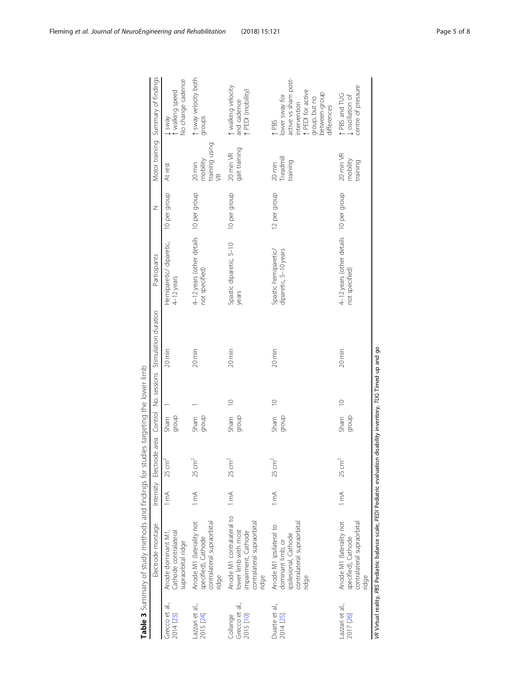<span id="page-4-0"></span>

|                                         | Table 3 Summary of study methods and findings for                                                                    |               |                      |               | studies targeting the lower limb |                      |                                                          |              |                                            |                                                                                                                                       |
|-----------------------------------------|----------------------------------------------------------------------------------------------------------------------|---------------|----------------------|---------------|----------------------------------|----------------------|----------------------------------------------------------|--------------|--------------------------------------------|---------------------------------------------------------------------------------------------------------------------------------------|
|                                         | Electrode montage                                                                                                    | Intensity     | Electrode area       | Control       | No. sessions                     | Stimulation duration | Participants                                             | z            |                                            | Motor training Summary of findings                                                                                                    |
| Grecco et al.,<br>2014 [23]             | Anode dominant M1,<br>Cathode contralateral<br>supraorbital ridge                                                    | $1 \text{mA}$ | 25 cm <sup>2</sup>   | dronb<br>Sham |                                  | 20 min               | Hemiparetic/ diparetic,<br>$4-12$ years                  | 10 per group | At rest                                    | No change cadence<br><b>J</b> sway<br>1 walking speed                                                                                 |
| Lazzari et al.,<br>2015 [24]            | Anode M1 (laterality not<br>contralateral supraorbital<br>specified), Cathode<br>ridge                               | $1 \text{mA}$ | $25$ cm <sup>2</sup> | Sham<br>dronb |                                  | 20 min               | 4-12 years (other details 10 per group<br>not specified) |              | training using<br>VR<br>20 min<br>mobility | t sway velocity both<br>groups                                                                                                        |
| Grecco et al.,<br>2015 [10]<br>Collange | Anode M1 contralateral to<br>lower limb with most<br>contralateral supraorbital<br>impairment, Cathode<br>ridge      | $1 \text{mA}$ | $25 \text{ cm}^2$    | Sham<br>group | $\supseteq$                      | $20$ min             | Spastic diparetic, 5-10<br>years                         | 10 per group | 20 min VR<br>gait training                 | walking velocity<br>$\uparrow$ PEDI (mobility)<br>and cadence                                                                         |
| Duarte et al.,<br>2014 [25]             | contralateral supraorbital<br>Anode M1 ipsilateral to<br>dominant limb, or<br>ipsilesional, Cathode<br>ridge         | $1 \text{mA}$ | $25 \text{ cm}^2$    | Sham<br>group | $\approx$                        | $20$ min             | Spastic hemiparetic/<br>diparetic, 5-10 years            | 12 per group | 20 min<br>Treadmill<br>training            | active vs sham post-<br>1 PEDI for active<br>between-group<br>lower sway for<br>group, but no<br>intervention<br>differences<br>SBd 1 |
| Lazzari et al.,<br>2017 [26]            | Anode M1 (laterality not<br>contralateral supraorbital<br>specified), Cathode<br>ridge                               | $1 \text{mA}$ | $25$ cm <sup>2</sup> | Sham<br>dronb | $\supseteq$                      | $20$ min             | 4-12 years (other details 10 per group<br>not specified) |              | 20 min VR<br>mobility<br>training          | centre of pressure<br>1 PBS and TUG<br>oscillation of                                                                                 |
|                                         | VR Virtual reality, PBS Pediatric balance scale, PEDI Pediatric evaluation disability inventory, TUG Timed up and go |               |                      |               |                                  |                      |                                                          |              |                                            |                                                                                                                                       |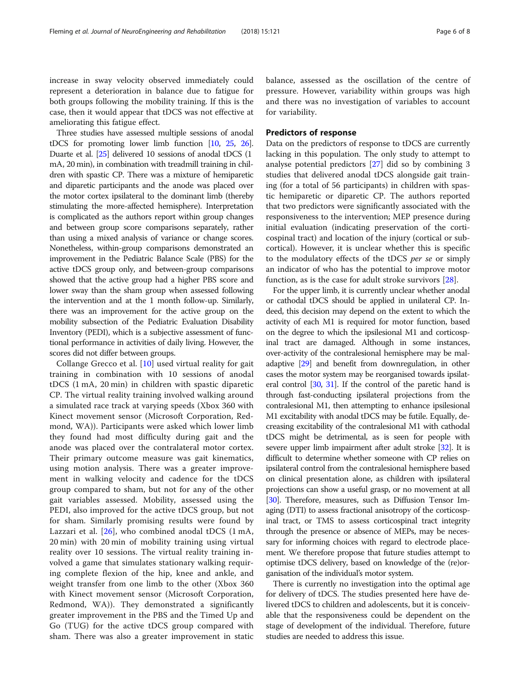increase in sway velocity observed immediately could represent a deterioration in balance due to fatigue for both groups following the mobility training. If this is the case, then it would appear that tDCS was not effective at ameliorating this fatigue effect.

Three studies have assessed multiple sessions of anodal tDCS for promoting lower limb function [\[10,](#page-6-0) [25](#page-7-0), [26](#page-7-0)]. Duarte et al. [\[25](#page-7-0)] delivered 10 sessions of anodal tDCS (1 mA, 20 min), in combination with treadmill training in children with spastic CP. There was a mixture of hemiparetic and diparetic participants and the anode was placed over the motor cortex ipsilateral to the dominant limb (thereby stimulating the more-affected hemisphere). Interpretation is complicated as the authors report within group changes and between group score comparisons separately, rather than using a mixed analysis of variance or change scores. Nonetheless, within-group comparisons demonstrated an improvement in the Pediatric Balance Scale (PBS) for the active tDCS group only, and between-group comparisons showed that the active group had a higher PBS score and lower sway than the sham group when assessed following the intervention and at the 1 month follow-up. Similarly, there was an improvement for the active group on the mobility subsection of the Pediatric Evaluation Disability Inventory (PEDI), which is a subjective assessment of functional performance in activities of daily living. However, the scores did not differ between groups.

Collange Grecco et al. [[10\]](#page-6-0) used virtual reality for gait training in combination with 10 sessions of anodal tDCS (1 mA, 20 min) in children with spastic diparetic CP. The virtual reality training involved walking around a simulated race track at varying speeds (Xbox 360 with Kinect movement sensor (Microsoft Corporation, Redmond, WA)). Participants were asked which lower limb they found had most difficulty during gait and the anode was placed over the contralateral motor cortex. Their primary outcome measure was gait kinematics, using motion analysis. There was a greater improvement in walking velocity and cadence for the tDCS group compared to sham, but not for any of the other gait variables assessed. Mobility, assessed using the PEDI, also improved for the active tDCS group, but not for sham. Similarly promising results were found by Lazzari et al. [[26\]](#page-7-0), who combined anodal tDCS (1 mA, 20 min) with 20 min of mobility training using virtual reality over 10 sessions. The virtual reality training involved a game that simulates stationary walking requiring complete flexion of the hip, knee and ankle, and weight transfer from one limb to the other (Xbox 360 with Kinect movement sensor (Microsoft Corporation, Redmond, WA)). They demonstrated a significantly greater improvement in the PBS and the Timed Up and Go (TUG) for the active tDCS group compared with sham. There was also a greater improvement in static

balance, assessed as the oscillation of the centre of pressure. However, variability within groups was high and there was no investigation of variables to account for variability.

### Predictors of response

Data on the predictors of response to tDCS are currently lacking in this population. The only study to attempt to analyse potential predictors [\[27](#page-7-0)] did so by combining 3 studies that delivered anodal tDCS alongside gait training (for a total of 56 participants) in children with spastic hemiparetic or diparetic CP. The authors reported that two predictors were significantly associated with the responsiveness to the intervention; MEP presence during initial evaluation (indicating preservation of the corticospinal tract) and location of the injury (cortical or subcortical). However, it is unclear whether this is specific to the modulatory effects of the tDCS per se or simply an indicator of who has the potential to improve motor function, as is the case for adult stroke survivors [\[28\]](#page-7-0).

For the upper limb, it is currently unclear whether anodal or cathodal tDCS should be applied in unilateral CP. Indeed, this decision may depend on the extent to which the activity of each M1 is required for motor function, based on the degree to which the ipsilesional M1 and corticospinal tract are damaged. Although in some instances, over-activity of the contralesional hemisphere may be maladaptive [\[29](#page-7-0)] and benefit from downregulation, in other cases the motor system may be reorganised towards ipsilateral control [\[30,](#page-7-0) [31](#page-7-0)]. If the control of the paretic hand is through fast-conducting ipsilateral projections from the contralesional M1, then attempting to enhance ipsilesional M1 excitability with anodal tDCS may be futile. Equally, decreasing excitability of the contralesional M1 with cathodal tDCS might be detrimental, as is seen for people with severe upper limb impairment after adult stroke [[32](#page-7-0)]. It is difficult to determine whether someone with CP relies on ipsilateral control from the contralesional hemisphere based on clinical presentation alone, as children with ipsilateral projections can show a useful grasp, or no movement at all [[30](#page-7-0)]. Therefore, measures, such as Diffusion Tensor Imaging (DTI) to assess fractional anisotropy of the corticospinal tract, or TMS to assess corticospinal tract integrity through the presence or absence of MEPs, may be necessary for informing choices with regard to electrode placement. We therefore propose that future studies attempt to optimise tDCS delivery, based on knowledge of the (re)organisation of the individual's motor system.

There is currently no investigation into the optimal age for delivery of tDCS. The studies presented here have delivered tDCS to children and adolescents, but it is conceivable that the responsiveness could be dependent on the stage of development of the individual. Therefore, future studies are needed to address this issue.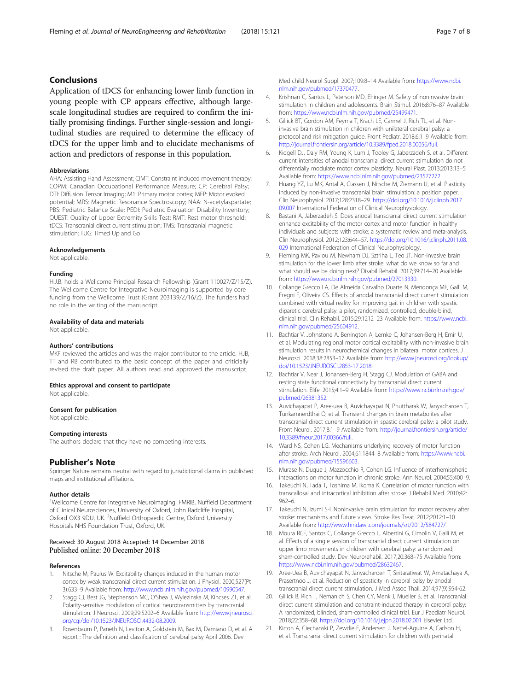# <span id="page-6-0"></span>Conclusions

Application of tDCS for enhancing lower limb function in young people with CP appears effective, although largescale longitudinal studies are required to confirm the initially promising findings. Further single-session and longitudinal studies are required to determine the efficacy of tDCS for the upper limb and to elucidate mechanisms of action and predictors of response in this population.

#### Abbreviations

AHA: Assisting Hand Assessment; CIMT: Constraint induced movement therapy; COPM: Canadian Occupational Performance Measure; CP: Cerebral Palsy; DTI: Diffusion Tensor Imaging; M1: Primary motor cortex; MEP: Motor evoked potential; MRS: Magnetic Resonance Spectroscopy; NAA: N-acetylaspartate; PBS: Pediatric Balance Scale; PEDI: Pediatric Evaluation Disability Inventory; QUEST: Quality of Upper Extremity Skills Test; RMT: Rest motor threshold; tDCS: Transcranial direct current stimulation; TMS: Transcranial magnetic stimulation; TUG: Timed Up and Go

#### Acknowledgements

Not applicable.

#### Funding

H.J.B. holds a Wellcome Principal Research Fellowship (Grant 110027/Z/15/Z). The Wellcome Centre for Integrative Neuroimaging is supported by core funding from the Wellcome Trust (Grant 203139/Z/16/Z). The funders had no role in the writing of the manuscript.

#### Availability of data and materials

Not applicable.

#### Authors' contributions

MKF reviewed the articles and was the major contributor to the article. HJB, TT and RB contributed to the basic concept of the paper and criticially revised the draft paper. All authors read and approved the manuscript.

#### Ethics approval and consent to participate

Not applicable.

#### Consent for publication

Not applicable.

#### Competing interests

The authors declare that they have no competing interests.

#### Publisher's Note

Springer Nature remains neutral with regard to jurisdictional claims in published maps and institutional affiliations.

#### Author details

<sup>1</sup>Wellcome Centre for Integrative Neuroimaging, FMRIB, Nuffield Department of Clinical Neurosciences, University of Oxford, John Radcliffe Hospital, Oxford OX3 9DU, UK. <sup>2</sup>Nuffield Orthopaedic Centre, Oxford University Hospitals NHS Foundation Trust, Oxford, UK.

#### Received: 30 August 2018 Accepted: 14 December 2018 Published online: 20 December 2018

#### References

- 1. Nitsche M, Paulus W. Excitability changes induced in the human motor cortex by weak transcranial direct current stimulation. J Physiol. 2000;527(Pt 3):633–9 Available from: [http://www.ncbi.nlm.nih.gov/pubmed/10990547.](http://www.ncbi.nlm.nih.gov/pubmed/10990547)
- Stagg CJ, Best JG, Stephenson MC, O'Shea J, Wylezinska M, Kincses ZT, et al. Polarity-sensitive modulation of cortical neurotransmitters by transcranial stimulation. J Neurosci. 2009;29:5202–6 Available from: [http://www.jneurosci.](http://www.jneurosci.org/cgi/doi/10.1523/JNEUROSCI.4432-08.2009) [org/cgi/doi/10.1523/JNEUROSCI.4432-08.2009.](http://www.jneurosci.org/cgi/doi/10.1523/JNEUROSCI.4432-08.2009)
- 3. Rosenbaum P, Paneth N, Leviton A, Goldstein M, Bax M, Damiano D, et al. A report : The definition and classification of cerebral palsy April 2006. Dev

Med child Neurol Suppl. 2007;109:8–14 Available from: [https://www.ncbi.](https://www.ncbi.nlm.nih.gov/pubmed/17370477) [nlm.nih.gov/pubmed/17370477.](https://www.ncbi.nlm.nih.gov/pubmed/17370477)

- 4. Krishnan C, Santos L, Peterson MD, Ehinger M. Safety of noninvasive brain stimulation in children and adolescents. Brain Stimul. 2016;8:76–87 Available from: <https://www.ncbi.nlm.nih.gov/pubmed/25499471>.
- 5. Gillick BT, Gordon AM, Feyma T, Krach LE, Carmel J, Rich TL, et al. Noninvasive brain stimulation in children with unilateral cerebral palsy: a protocol and risk mitigation guide. Front Pediatr. 2018;6:1–9 Available from: [http://journal.frontiersin.org/article/10.3389/fped.2018.00056/full.](http://journal.frontiersin.org/article/10.3389/fped.2018.00056/full)
- 6. Kidgell DJ, Daly RM, Young K, Lum J, Tooley G, Jaberzadeh S, et al. Different current intensities of anodal transcranial direct current stimulation do not differentially modulate motor cortex plasticity. Neural Plast. 2013;2013:13–5 Available from: [https://www.ncbi.nlm.nih.gov/pubmed/23577272.](https://www.ncbi.nlm.nih.gov/pubmed/23577272)
- 7. Huang YZ, Lu MK, Antal A, Classen J, Nitsche M, Ziemann U, et al. Plasticity induced by non-invasive transcranial brain stimulation: a position paper. Clin Neurophysiol. 2017;128:2318–29. [https://doi.org/10.1016/j.clinph.2017.](https://doi.org/10.1016/j.clinph.2017.09.007) [09.007](https://doi.org/10.1016/j.clinph.2017.09.007) International Federation of Clinical Neurophysiology.
- 8. Bastani A, Jaberzadeh S. Does anodal transcranial direct current stimulation enhance excitability of the motor cortex and motor function in healthy individuals and subjects with stroke: a systematic review and meta-analysis. Clin Neurophysiol. 2012;123:644–57. [https://doi.org/10.1016/j.clinph.2011.08.](https://doi.org/10.1016/j.clinph.2011.08.029) [029](https://doi.org/10.1016/j.clinph.2011.08.029) International Federation of Clinical Neurophysiology.
- 9. Fleming MK, Pavlou M, Newham DJ, Sztriha L, Teo JT. Non-invasive brain stimulation for the lower limb after stroke: what do we know so far and what should we be doing next? Disabil Rehabil. 2017;39:714–20 Available from: <https://www.ncbi.nlm.nih.gov/pubmed/27013330>.
- 10. Collange Grecco LA, De Almeida Carvalho Duarte N, Mendonça ME, Galli M, Fregni F, Oliveira CS. Effects of anodal transcranial direct current stimulation combined with virtual reality for improving gait in children with spastic diparetic cerebral palsy: a pilot, randomized, controlled, double-blind, clinical trial. Clin Rehabil. 2015;29:1212–23 Available from: [https://www.ncbi.](https://www.ncbi.nlm.nih.gov/pubmed/25604912) [nlm.nih.gov/pubmed/25604912.](https://www.ncbi.nlm.nih.gov/pubmed/25604912)
- 11. Bachtiar V, Johnstone A, Berrington A, Lemke C, Johansen-Berg H, Emir U, et al. Modulating regional motor cortical excitability with non-invasive brain stimulation results in neurochemical changes in bilateral motor cortices. J Neurosci. 2018;38:2853–17 Available from: [http://www.jneurosci.org/lookup/](http://www.jneurosci.org/lookup/doi/10.1523/JNEUROSCI.2853-17.2018) [doi/10.1523/JNEUROSCI.2853-17.2018.](http://www.jneurosci.org/lookup/doi/10.1523/JNEUROSCI.2853-17.2018)
- 12. Bachtiar V, Near J, Johansen-Berg H, Stagg CJ. Modulation of GABA and resting state functional connectivity by transcranial direct current stimulation. Elife. 2015;4:1–9 Available from: [https://www.ncbi.nlm.nih.gov/](https://www.ncbi.nlm.nih.gov/pubmed/26381352) [pubmed/26381352.](https://www.ncbi.nlm.nih.gov/pubmed/26381352)
- 13. Auvichayapat P, Aree-uea B, Auvichayapat N, Phuttharak W, Janyacharoen T, Tunkamnerdthai O, et al. Transient changes in brain metabolites after transcranial direct current stimulation in spastic cerebral palsy: a pilot study. Front Neurol. 2017;8:1–9 Available from: [http://journal.frontiersin.org/article/](http://journal.frontiersin.org/article/10.3389/fneur.2017.00366/full) [10.3389/fneur.2017.00366/full.](http://journal.frontiersin.org/article/10.3389/fneur.2017.00366/full)
- 14. Ward NS, Cohen LG. Mechanisms underlying recovery of motor function after stroke. Arch Neurol. 2004;61:1844–8 Available from: [https://www.ncbi.](https://www.ncbi.nlm.nih.gov/pubmed/15596603) [nlm.nih.gov/pubmed/15596603.](https://www.ncbi.nlm.nih.gov/pubmed/15596603)
- 15. Murase N, Duque J, Mazzocchio R, Cohen LG. Influence of interhemispheric interactions on motor function in chronic stroke. Ann Neurol. 2004;55:400–9.
- 16. Takeuchi N, Tada T, Toshima M, Ikoma K. Correlation of motor function with transcallosal and intracortical inhibition after stroke. J Rehabil Med. 2010;42: 962–6.
- 17. Takeuchi N, Izumi S-I. Noninvasive brain stimulation for motor recovery after stroke: mechanisms and future views. Stroke Res Treat. 2012;2012:1–10 Available from: [http://www.hindawi.com/journals/srt/2012/584727/.](http://www.hindawi.com/journals/srt/2012/584727/)
- 18. Moura RCF, Santos C, Collange Grecco L, Albertini G, Cimolin V, Galli M, et al. Effects of a single session of transcranial direct current stimulation on upper limb movements in children with cerebral palsy: a randomized, sham-controlled study. Dev Neurorehabil. 2017;20:368–75 Available from: <https://www.ncbi.nlm.nih.gov/pubmed/28632467>.
- 19. Aree-Uea B, Auvichayapat N, Janyacharoen T, Siritaratiwat W, Amatachaya A, Prasertnoo J, et al. Reduction of spasticity in cerebral palsy by anodal transcranial direct current stimulation. J Med Assoc Thail. 2014;97(9):954-62.
- 20. Gillick B, Rich T, Nemanich S, Chen CY, Menk J, Mueller B, et al. Transcranial direct current stimulation and constraint-induced therapy in cerebral palsy: A randomized, blinded, sham-controlled clinical trial. Eur J Paediatr Neurol. 2018;22:358–68. <https://doi.org/10.1016/j.ejpn.2018.02.001> Elsevier Ltd.
- 21. Kirton A, Ciechanski P, Zewdie E, Andersen J, Nettel-Aguirre A, Carlson H, et al. Transcranial direct current stimulation for children with perinatal